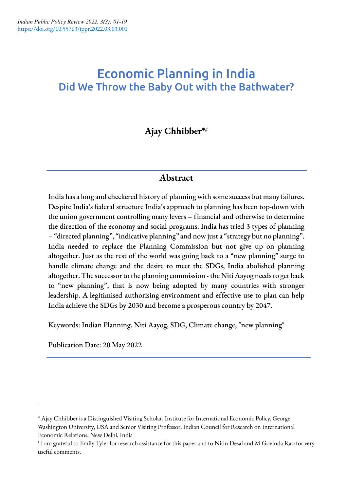# Economic Planning in India Did We Throw the Baby Out with the Bathwater?

## **Ajay Chhibber\*#**

## **Abstract**

India has a long and checkered history of planning with some success but many failures. Despite India's federal structure India's approach to planning has been top-down with the union government controlling many levers – financial and otherwise to determine the direction of the economy and social programs. India has tried 3 types of planning – "directed planning", "indicative planning" and now just a "strategy but no planning". India needed to replace the Planning Commission but not give up on planning altogether. Just as the rest of the world was going back to a "new planning" surge to handle climate change and the desire to meet the SDGs, India abolished planning altogether. The successor to the planning commission - the Niti Aayog needs to get back to "new planning", that is now being adopted by many countries with stronger leadership. A legitimised authorising environment and effective use to plan can help India achieve the SDGs by 2030 and become a prosperous country by 2047.

Keywords: Indian Planning, Niti Aayog, SDG, Climate change, "new planning"

Publication Date: 20 May 2022

<sup>\*</sup> Ajay Chhibber is a Distinguished Visiting Scholar, Institute for International Economic Policy, George Washington University, USA and Senior Visiting Professor, Indian Council for Research on International Economic Relations, New Delhi, India

<sup>#</sup> I am grateful to Emily Tyler for research assistance for this paper and to Nitin Desai and M Govinda Rao for very useful comments.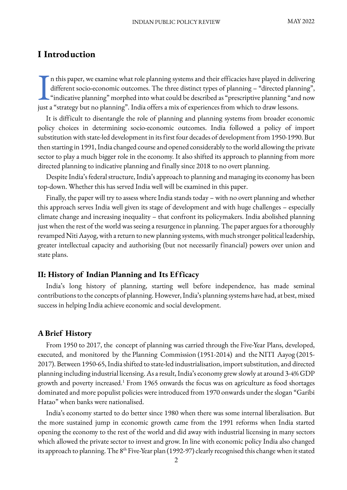## **I Introduction**

n this paper, we examine what role planning systems and their efficacies have played in delivering different socio-economic outcomes. The three distinct types of planning – "directed planning", "indicative planning" morphed into what could be described as "prescriptive planning "and now In this paper, we examine what role planning systems and their efficacies have played in deliver different socio-economic outcomes. The three distinct types of planning – "directed planning" indicative planning" morphed in

It is difficult to disentangle the role of planning and planning systems from broader economic policy choices in determining socio-economic outcomes. India followed a policy of import substitution with state-led development in its first four decades of development from 1950-1990. But then starting in 1991, India changed course and opened considerably to the world allowing the private sector to play a much bigger role in the economy. It also shifted its approach to planning from more directed planning to indicative planning and finally since 2018 to no overt planning.

Despite India's federal structure, India's approach to planning and managing its economy has been top-down. Whether this has served India well will be examined in this paper.

Finally, the paper will try to assess where India stands today – with no overt planning and whether this approach serves India well given its stage of development and with huge challenges – especially climate change and increasing inequality – that confront its policymakers. India abolished planning just when the rest of the world was seeing a resurgence in planning. The paper argues for a thoroughly revamped Niti Aayog, with a return to new planning systems, with much stronger political leadership, greater intellectual capacity and authorising (but not necessarily financial) powers over union and state plans.

#### **II: History of Indian Planning and Its Ef ficacy**

India's long history of planning, starting well before independence, has made seminal contributions to the concepts of planning. However, India's planning systems have had, at best, mixed success in helping India achieve economic and social development.

#### **A Brief History**

From 1950 to 2017, the concept of planning was carried through the Five-Year Plans, developed, executed, and monitored by the Planning Commission (1951-2014) and the NITI Aayog (2015- 2017). Between 1950-65, India shifted to state-led industrialisation, import substitution, and directed planning including industrial licensing. As a result, India's economy grew slowly at around 3-4% GDP growth and poverty increased.<sup>1</sup> From 1965 onwards the focus was on agriculture as food shortages dominated and more populist policies were introduced from 1970 onwards under the slogan "Garibi Hatao" when banks were nationalised.

India's economy started to do better since 1980 when there was some internal liberalisation. But the more sustained jump in economic growth came from the 1991 reforms when India started opening the economy to the rest of the world and did away with industrial licensing in many sectors which allowed the private sector to invest and grow. In line with economic policy India also changed its approach to planning. The 8<sup>th</sup> Five-Year plan (1992-97) clearly recognised this change when it stated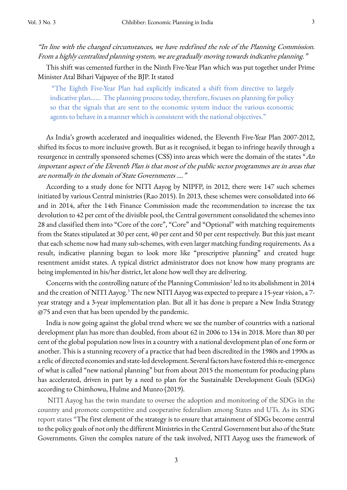"In line with the changed circumstances, we have redefined the role of the Planning Commission. From a highly centralized planning system, we are gradually moving towards indicative planning."

This shift was cemented further in the Ninth Five-Year Plan which was put together under Prime Minister Atal Bihari Vajpayee of the BJP. It stated

"The Eighth Five-Year Plan had explicitly indicated a shift from directive to largely indicative plan…… The planning process today, therefore, focuses on planning for policy so that the signals that are sent to the economic system induce the various economic agents to behave in a manner which is consistent with the national objectives."

As India's growth accelerated and inequalities widened, the Eleventh Five-Year Plan 2007-2012, shifted its focus to more inclusive growth. But as it recognised, it began to infringe heavily through a resurgence in centrally sponsored schemes (CSS) into areas which were the domain of the states "An important aspect of the Eleventh Plan is that most of the public sector programmes are in areas that are normally in the domain of State Governments …."

According to a study done for NITI Aayog by NIPFP, in 2012, there were 147 such schemes initiated by various Central ministries (Rao 2015). In 2013, these schemes were consolidated into 66 and in 2014, after the 14th Finance Commission made the recommendation to increase the tax devolution to 42 per cent of the divisible pool, the Central government consolidated the schemes into 28 and classified them into "Core of the core", "Core" and "Optional" with matching requirements from the States stipulated at 30 per cent, 40 per cent and 50 per cent respectively. But this just meant that each scheme now had many sub-schemes, with even larger matching funding requirements. As a result, indicative planning began to look more like "prescriptive planning" and created huge resentment amidst states. A typical district administrator does not know how many programs are being implemented in his/her district, let alone how well they are delivering.

Concerns with the controlling nature of the Planning Commission<sup>2</sup> led to its abolishment in 2014 and the creation of NITI Aayog.<sup>3</sup> The new NITI Aayog was expected to prepare a 15-year vision, a 7year strategy and a 3-year implementation plan. But all it has done is prepare a New India Strategy @75 and even that has been upended by the pandemic.

India is now going against the global trend where we see the number of countries with a national development plan has more than doubled, from about 62 in 2006 to 134 in 2018. More than 80 per cent of the global population now lives in a country with a national development plan of one form or another. This is a stunning recovery of a practice that had been discredited in the 1980s and 1990s as a relic of directed economies and state-led development. Several factors have fostered this re-emergence of what is called "new national planning" but from about 2015 the momentum for producing plans has accelerated, driven in part by a need to plan for the Sustainable Development Goals (SDGs) according to Chimhowu, Hulme and Munro (2019).

NITI Aayog has the twin mandate to oversee the adoption and monitoring of the SDGs in the country and promote competitive and cooperative federalism among States and UTs. As its SDG report states "The first element of the strategy is to ensure that attainment of SDGs become central to the policy goals of not only the different Ministries in the Central Government but also of the State Governments. Given the complex nature of the task involved, NITI Aayog uses the framework of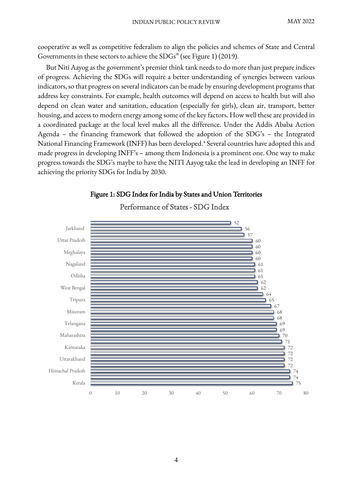cooperative as well as competitive federalism to align the policies and schemes of State and Central Governments in these sectors to achieve the SDGs" (see Figure 1) (2019).

But Niti Aayog as the government's premier think tank needs to do more than just prepare indices of progress. Achieving the SDGs will require a better understanding of synergies between various indicators, so that progress on several indicators can be made by ensuring development programs that address key constraints. For example, health outcomes will depend on access to health but will also depend on clean water and sanitation, education (especially for girls), clean air, transport, better housing, and access to modern energy among some of the key factors. How well these are provided in a coordinated package at the local level makes all the difference. Under the Addis Ababa Action Agenda – the financing framework that followed the adoption of the SDG's – the Integrated National Financing Framework (INFF) has been developed. <sup>4</sup> Several countries have adopted this and made progress in developing INFF's – among them Indonesia is a prominent one. One way to make progress towards the SDG's maybe to have the NITI Aayog take the lead in developing an INFF for achieving the priority SDGs for India by 2030.



#### Figure 1: SDG Index for India by States and Union Territories

Performance of States - SDG Index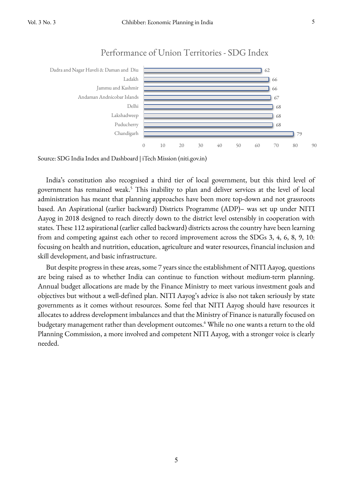

### Performance of Union Territories - SDG Index

Source: SDG India Index and Dashboard | iTech Mission (niti.gov.in)

India's constitution also recognised a third tier of local government, but this third level of government has remained weak.<sup>5</sup> This inability to plan and deliver services at the level of local administration has meant that planning approaches have been more top-down and not grassroots based. An Aspirational (earlier backward) Districts Programme (ADP)– was set up under NITI Aayog in 2018 designed to reach directly down to the district level ostensibly in cooperation with states. These 112 aspirational (earlier called backward) districts across the country have been learning from and competing against each other to record improvement across the SDGs 3, 4, 6, 8, 9, 10: focusing on health and nutrition, education, agriculture and water resources, financial inclusion and skill development, and basic infrastructure.

But despite progress in these areas, some 7 years since the establishment of NITI Aayog, questions are being raised as to whether India can continue to function without medium-term planning. Annual budget allocations are made by the Finance Ministry to meet various investment goals and objectives but without a well-defined plan. NITI Aayog's advice is also not taken seriously by state governments as it comes without resources. Some feel that NITI Aayog should have resources it allocates to address development imbalances and that the Ministry of Finance is naturally focused on budgetary management rather than development outcomes.<sup>6</sup> While no one wants a return to the old Planning Commission, a more involved and competent NITI Aayog, with a stronger voice is clearly needed.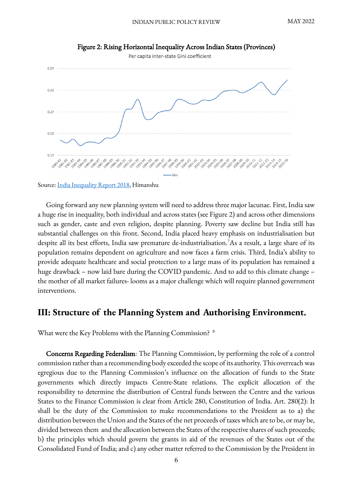

Figure 2: Rising Horizontal Inequality Across Indian States (Provinces)

Source: India Inequality Report 2018, Himanshu

Going forward any new planning system will need to address three major lacunae. First, India saw a huge rise in inequality, both individual and across states (see Figure 2) and across other dimensions such as gender, caste and even religion, despite planning. Poverty saw decline but India still has substantial challenges on this front. Second, India placed heavy emphasis on industrialisation but despite all its best efforts, India saw premature de-industrialisation.7 As a result, a large share of its population remains dependent on agriculture and now faces a farm crisis. Third, India's ability to provide adequate healthcare and social protection to a large mass of its population has remained a huge drawback – now laid bare during the COVID pandemic. And to add to this climate change – the mother of all market failures- looms as a major challenge which will require planned government interventions.

### **III: Structure of the Planning System and Authorising Environment.**

What were the Key Problems with the Planning Commission? <sup>8</sup>

Concerns Regarding Federalism: The Planning Commission, by performing the role of a control commission rather than a recommending body exceeded the scope of its authority. This overreach was egregious due to the Planning Commission's influence on the allocation of funds to the State governments which directly impacts Centre-State relations. The explicit allocation of the responsibility to determine the distribution of Central funds between the Centre and the various States to the Finance Commission is clear from Article 280, Constitution of India. Art. 280(2): It shall be the duty of the Commission to make recommendations to the President as to a) the distribution between the Union and the States of the net proceeds of taxes which are to be, or may be, divided between them and the allocation between the States of the respective shares of such proceeds; b) the principles which should govern the grants in aid of the revenues of the States out of the Consolidated Fund of India; and c) any other matter referred to the Commission by the President in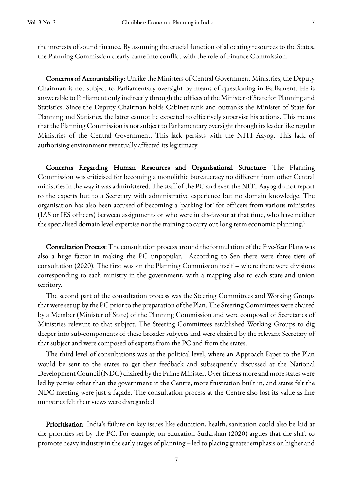the interests of sound finance. By assuming the crucial function of allocating resources to the States, the Planning Commission clearly came into conflict with the role of Finance Commission.

Concerns of Accountability: Unlike the Ministers of Central Government Ministries, the Deputy Chairman is not subject to Parliamentary oversight by means of questioning in Parliament. He is answerable to Parliament only indirectly through the offices of the Minister of State for Planning and Statistics. Since the Deputy Chairman holds Cabinet rank and outranks the Minister of State for Planning and Statistics, the latter cannot be expected to effectively supervise his actions. This means that the Planning Commission is not subject to Parliamentary oversight through its leader like regular Ministries of the Central Government. This lack persists with the NITI Aayog. This lack of authorising environment eventually affected its legitimacy.

Concerns Regarding Human Resources and Organisational Structure: The Planning Commission was criticised for becoming a monolithic bureaucracy no different from other Central ministries in the way it was administered. The staff of the PC and even the NITI Aayog do not report to the experts but to a Secretary with administrative experience but no domain knowledge. The organisation has also been accused of becoming a 'parking lot' for officers from various ministries (IAS or IES officers) between assignments or who were in dis-favour at that time, who have neither the specialised domain level expertise nor the training to carry out long term economic planning.<sup>9</sup>

Consultation Process: The consultation process around the formulation of the Five-Year Plans was also a huge factor in making the PC unpopular. According to Sen there were three tiers of consultation (2020). The first was -in the Planning Commission itself – where there were divisions corresponding to each ministry in the government, with a mapping also to each state and union territory.

The second part of the consultation process was the Steering Committees and Working Groups that were set up by the PC prior to the preparation of the Plan. The Steering Committees were chaired by a Member (Minister of State) of the Planning Commission and were composed of Secretaries of Ministries relevant to that subject. The Steering Committees established Working Groups to dig deeper into sub-components of these broader subjects and were chaired by the relevant Secretary of that subject and were composed of experts from the PC and from the states.

The third level of consultations was at the political level, where an Approach Paper to the Plan would be sent to the states to get their feedback and subsequently discussed at the National Development Council (NDC) chaired by the Prime Minister. Over time as more and more states were led by parties other than the government at the Centre, more frustration built in, and states felt the NDC meeting were just a façade. The consultation process at the Centre also lost its value as line ministries felt their views were disregarded.

Prioritisation: India's failure on key issues like education, health, sanitation could also be laid at the priorities set by the PC. For example, on education Sudarshan (2020) argues that the shift to promote heavy industry in the early stages of planning – led to placing greater emphasis on higher and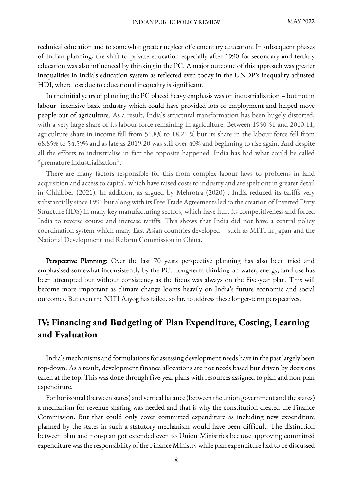technical education and to somewhat greater neglect of elementary education. In subsequent phases of Indian planning, the shift to private education especially after 1990 for secondary and tertiary education was also influenced by thinking in the PC. A major outcome of this approach was greater inequalities in India's education system as reflected even today in the UNDP's inequality adjusted HDI, where loss due to educational inequality is significant.

In the initial years of planning the PC placed heavy emphasis was on industrialisation – but not in labour -intensive basic industry which could have provided lots of employment and helped move people out of agriculture. As a result, India's structural transformation has been hugely distorted, with a very large share of its labour force remaining in agriculture. Between 1950-51 and 2010-11, agriculture share in income fell from 51.8% to 18.21 % but its share in the labour force fell from 68.85% to 54.59% and as late as 2019-20 was still over 40% and beginning to rise again. And despite all the efforts to industrialise in fact the opposite happened. India has had what could be called "premature industrialisation".

There are many factors responsible for this from complex labour laws to problems in land acquisition and access to capital, which have raised costs to industry and are spelt out in greater detail in Chhibber (2021). In addition, as argued by Mehrotra (2020) , India reduced its tariffs very substantially since 1991 but along with its Free Trade Agreements led to the creation of Inverted Duty Structure (IDS) in many key manufacturing sectors, which have hurt its competitiveness and forced India to reverse course and increase tariffs. This shows that India did not have a central policy coordination system which many East Asian countries developed – such as MITI in Japan and the National Development and Reform Commission in China.

Perspective Planning: Over the last 70 years perspective planning has also been tried and emphasised somewhat inconsistently by the PC. Long-term thinking on water, energy, land use has been attempted but without consistency as the focus was always on the Five-year plan. This will become more important as climate change looms heavily on India's future economic and social outcomes. But even the NITI Aayog has failed, so far, to address these longer-term perspectives.

## **IV: Financing and Budgeting of Plan Expenditure, Costing, Learning and Evaluation**

India's mechanisms and formulations for assessing development needs have in the past largely been top-down. As a result, development finance allocations are not needs based but driven by decisions taken at the top. This was done through five-year plans with resources assigned to plan and non-plan expenditure.

For horizontal (between states) and vertical balance (between the union government and the states) a mechanism for revenue sharing was needed and that is why the constitution created the Finance Commission. But that could only cover committed expenditure as including new expenditure planned by the states in such a statutory mechanism would have been difficult. The distinction between plan and non-plan got extended even to Union Ministries because approving committed expenditure was the responsibility of the Finance Ministry while plan expenditure had to be discussed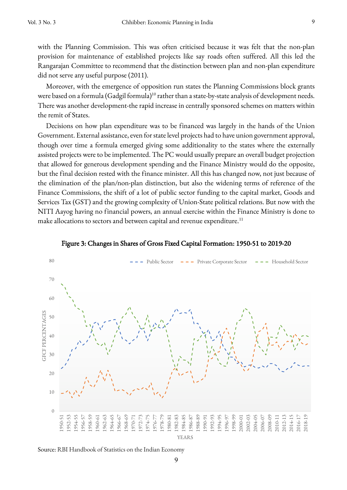with the Planning Commission. This was often criticised because it was felt that the non-plan provision for maintenance of established projects like say roads often suffered. All this led the Rangarajan Committee to recommend that the distinction between plan and non-plan expenditure did not serve any useful purpose (2011).

Moreover, with the emergence of opposition run states the Planning Commissions block grants were based on a formula (Gadgil formula)<sup>10</sup> rather than a state-by-state analysis of development needs. There was another development-the rapid increase in centrally sponsored schemes on matters within the remit of States.

Decisions on how plan expenditure was to be financed was largely in the hands of the Union Government. External assistance, even for state level projects had to have union government approval, though over time a formula emerged giving some additionality to the states where the externally assisted projects were to be implemented. The PC would usually prepare an overall budget projection that allowed for generous development spending and the Finance Ministry would do the opposite, but the final decision rested with the finance minister. All this has changed now, not just because of the elimination of the plan/non-plan distinction, but also the widening terms of reference of the Finance Commissions, the shift of a lot of public sector funding to the capital market, Goods and Services Tax (GST) and the growing complexity of Union-State political relations. But now with the NITI Aayog having no financial powers, an annual exercise within the Finance Ministry is done to make allocations to sectors and between capital and revenue expenditure.<sup>11</sup>





Source: RBI Handbook of Statistics on the Indian Economy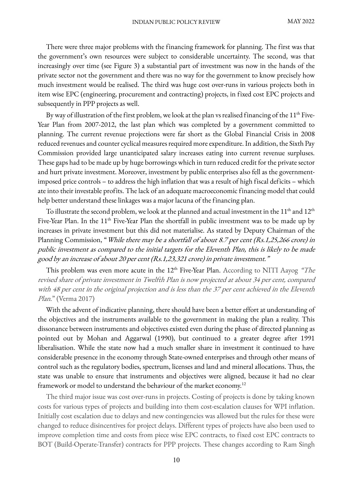There were three major problems with the financing framework for planning. The first was that the government's own resources were subject to considerable uncertainty. The second, was that increasingly over time (see Figure 3) a substantial part of investment was now in the hands of the private sector not the government and there was no way for the government to know precisely how much investment would be realised. The third was huge cost over-runs in various projects both in item wise EPC (engineering, procurement and contracting) projects, in fixed cost EPC projects and subsequently in PPP projects as well.

By way of illustration of the first problem, we look at the plan vs realised financing of the  $11<sup>th</sup>$  Five-Year Plan from 2007-2012, the last plan which was completed by a government committed to planning. The current revenue projections were far short as the Global Financial Crisis in 2008 reduced revenues and counter cyclical measures required more expenditure. In addition, the Sixth Pay Commission provided large unanticipated salary increases eating into current revenue surpluses. These gaps had to be made up by huge borrowings which in turn reduced credit for the private sector and hurt private investment. Moreover, investment by public enterprises also fell as the governmentimposed price controls – to address the high inflation that was a result of high fiscal deficits – which ate into their investable profits. The lack of an adequate macroeconomic financing model that could help better understand these linkages was a major lacuna of the financing plan.

To illustrate the second problem, we look at the planned and actual investment in the  $11<sup>th</sup>$  and  $12<sup>th</sup>$ Five-Year Plan. In the 11<sup>th</sup> Five-Year Plan the shortfall in public investment was to be made up by increases in private investment but this did not materialise. As stated by Deputy Chairman of the Planning Commission, "While there may be a shortfall of about 8.7 per cent (Rs.1,25,266 crore) in public investment as compared to the initial targets for the Eleventh Plan, this is likely to be made good by an increase of about 20 per cent (Rs.1,23,321 crore) in private investment."

This problem was even more acute in the  $12<sup>th</sup>$  Five-Year Plan. According to NITI Aayog "The revised share of private investment in Twelfth Plan is now projected at about 34 per cent, compared with 48 per cent in the original projection and is less than the 37 per cent achieved in the Eleventh Plan." (Verma 2017)

With the advent of indicative planning, there should have been a better effort at understanding of the objectives and the instruments available to the government in making the plan a reality. This dissonance between instruments and objectives existed even during the phase of directed planning as pointed out by Mohan and Aggarwal (1990), but continued to a greater degree after 1991 liberalisation. While the state now had a much smaller share in investment it continued to have considerable presence in the economy through State-owned enterprises and through other means of control such as the regulatory bodies, spectrum, licenses and land and mineral allocations. Thus, the state was unable to ensure that instruments and objectives were aligned, because it had no clear framework or model to understand the behaviour of the market economy.12

The third major issue was cost over-runs in projects. Costing of projects is done by taking known costs for various types of projects and building into them cost-escalation clauses for WPI inflation. Initially cost escalation due to delays and new contingencies was allowed but the rules for these were changed to reduce disincentives for project delays. Different types of projects have also been used to improve completion time and costs from piece wise EPC contracts, to fixed cost EPC contracts to BOT (Build-Operate-Transfer) contracts for PPP projects. These changes according to Ram Singh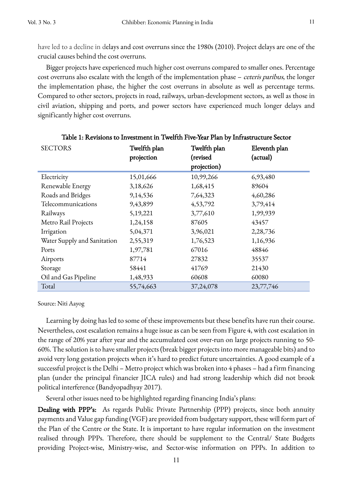have led to a decline in delays and cost overruns since the 1980s (2010). Project delays are one of the crucial causes behind the cost overruns.

Bigger projects have experienced much higher cost overruns compared to smaller ones. Percentage cost overruns also escalate with the length of the implementation phase – ceteris paribus, the longer the implementation phase, the higher the cost overruns in absolute as well as percentage terms. Compared to other sectors, projects in road, railways, urban-development sectors, as well as those in civil aviation, shipping and ports, and power sectors have experienced much longer delays and significantly higher cost overruns.

| <b>SECTORS</b>              | Twelfth plan<br>projection | Twelfth plan<br>(revised<br>projection) | Eleventh plan<br>(actual) |
|-----------------------------|----------------------------|-----------------------------------------|---------------------------|
| Electricity                 | 15,01,666                  | 10,99,266                               | 6,93,480                  |
| Renewable Energy            | 3,18,626                   | 1,68,415                                | 89604                     |
| Roads and Bridges           | 9,14,536                   | 7,64,323                                | 4,60,286                  |
| Telecommunications          | 9,43,899                   | 4,53,792                                | 3,79,414                  |
| Railways                    | 5,19,221                   | 3,77,610                                | 1,99,939                  |
| Metro Rail Projects         | 1,24,158                   | 87605                                   | 43457                     |
| Irrigation                  | 5,04,371                   | 3,96,021                                | 2,28,736                  |
| Water Supply and Sanitation | 2,55,319                   | 1,76,523                                | 1,16,936                  |
| Ports                       | 1,97,781                   | 67016                                   | 48846                     |
| Airports                    | 87714                      | 27832                                   | 35537                     |
| Storage                     | 58441                      | 41769                                   | 21430                     |
| Oil and Gas Pipeline        | 1,48,933                   | 60608                                   | 60080                     |
| Total                       | 55,74,663                  | 37,24,078                               | 23,77,746                 |

|  | Table 1: Revisions to Investment in Twelfth Five-Year Plan by Infrastructure Sector |
|--|-------------------------------------------------------------------------------------|
|--|-------------------------------------------------------------------------------------|

Source: Niti Aayog

Learning by doing has led to some of these improvements but these benefits have run their course. Nevertheless, cost escalation remains a huge issue as can be seen from Figure 4, with cost escalation in the range of 20% year after year and the accumulated cost over-run on large projects running to 50- 60%. The solution is to have smaller projects (break bigger projects into more manageable bits) and to avoid very long gestation projects when it's hard to predict future uncertainties. A good example of a successful project is the Delhi – Metro project which was broken into 4 phases – had a firm financing plan (under the principal financier JICA rules) and had strong leadership which did not brook political interference (Bandyopadhyay 2017).

Several other issues need to be highlighted regarding financing India's plans:

Dealing with PPP's: As regards Public Private Partnership (PPP) projects, since both annuity payments and Value gap funding (VGF) are provided from budgetary support, these will form part of the Plan of the Centre or the State. It is important to have regular information on the investment realised through PPPs. Therefore, there should be supplement to the Central/ State Budgets providing Project-wise, Ministry-wise, and Sector-wise information on PPPs. In addition to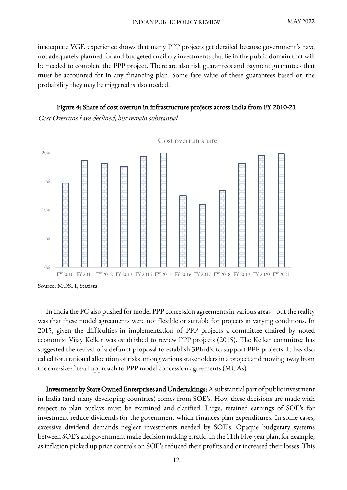inadequate VGF, experience shows that many PPP projects get derailed because government's have not adequately planned for and budgeted ancillary investments that lie in the public domain that will be needed to complete the PPP project. There are also risk guarantees and payment guarantees that must be accounted for in any financing plan. Some face value of these guarantees based on the probability they may be triggered is also needed.

#### Figure 4: Share of cost overrun in infrastructure projects across India from FY 2010-21

Cost Overruns have declined, but remain substantial



Source: MOSPI, Statista

In India the PC also pushed for model PPP concession agreements in various areas– but the reality was that these model agreements were not flexible or suitable for projects in varying conditions. In 2015, given the difficulties in implementation of PPP projects a committee chaired by noted economist Vijay Kelkar was established to review PPP projects (2015). The Kelkar committee has suggested the revival of a defunct proposal to establish 3PIndia to support PPP projects. It has also called for a rational allocation of risks among various stakeholders in a project and moving away from the one-size-fits-all approach to PPP model concession agreements (MCAs).

Investment by State Owned Enterprises and Undertakings: A substantial part of public investment in India (and many developing countries) comes from SOE's. How these decisions are made with respect to plan outlays must be examined and clarified. Large, retained earnings of SOE's for investment reduce dividends for the government which finances plan expenditures. In some cases, excessive dividend demands neglect investments needed by SOE's. Opaque budgetary systems between SOE's and government make decision making erratic. In the 11th Five-year plan, for example, as inflation picked up price controls on SOE's reduced their profits and or increased their losses. This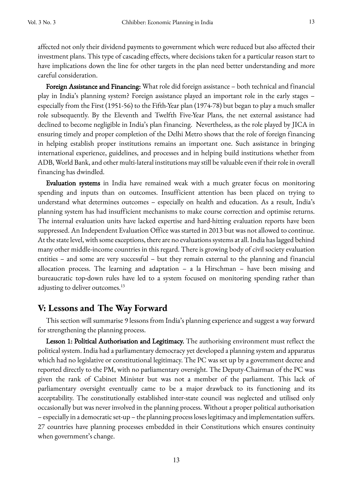affected not only their dividend payments to government which were reduced but also affected their investment plans. This type of cascading effects, where decisions taken for a particular reason start to have implications down the line for other targets in the plan need better understanding and more careful consideration.

Foreign Assistance and Financing: What role did foreign assistance – both technical and financial play in India's planning system? Foreign assistance played an important role in the early stages – especially from the First (1951-56) to the Fifth-Year plan (1974-78) but began to play a much smaller role subsequently. By the Eleventh and Twelfth Five-Year Plans, the net external assistance had declined to become negligible in India's plan financing. Nevertheless, as the role played by JICA in ensuring timely and proper completion of the Delhi Metro shows that the role of foreign financing in helping establish proper institutions remains an important one. Such assistance in bringing international experience, guidelines, and processes and in helping build institutions whether from ADB, World Bank, and other multi-lateral institutions may still be valuable even if their role in overall financing has dwindled.

Evaluation systems in India have remained weak with a much greater focus on monitoring spending and inputs than on outcomes. Insufficient attention has been placed on trying to understand what determines outcomes – especially on health and education. As a result, India's planning system has had insufficient mechanisms to make course correction and optimise returns. The internal evaluation units have lacked expertise and hard-hitting evaluation reports have been suppressed. An Independent Evaluation Office was started in 2013 but was not allowed to continue. At the state level, with some exceptions, there are no evaluations systems at all. India has lagged behind many other middle-income countries in this regard. There is growing body of civil society evaluation entities – and some are very successful – but they remain external to the planning and financial allocation process. The learning and adaptation – a la Hirschman – have been missing and bureaucratic top-down rules have led to a system focused on monitoring spending rather than adjusting to deliver outcomes.<sup>13</sup>

## **V: Lessons and The Way Forward**

This section will summarise 9 lessons from India's planning experience and suggest a way forward for strengthening the planning process.

Lesson 1: Political Authorisation and Legitimacy. The authorising environment must reflect the political system. India had a parliamentary democracy yet developed a planning system and apparatus which had no legislative or constitutional legitimacy. The PC was set up by a government decree and reported directly to the PM, with no parliamentary oversight. The Deputy-Chairman of the PC was given the rank of Cabinet Minister but was not a member of the parliament. This lack of parliamentary oversight eventually came to be a major drawback to its functioning and its acceptability. The constitutionally established inter-state council was neglected and utilised only occasionally but was never involved in the planning process. Without a proper political authorisation – especially in a democratic set-up – the planning process loses legitimacy and implementation suffers. 27 countries have planning processes embedded in their Constitutions which ensures continuity when government's change.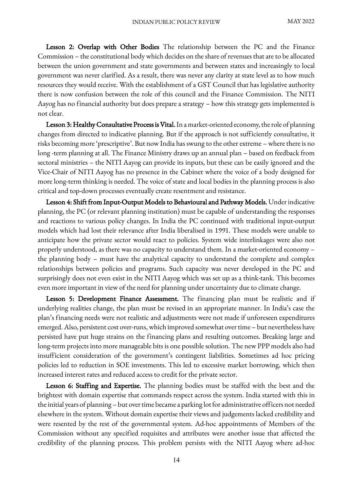Lesson 2: Overlap with Other Bodies The relationship between the PC and the Finance Commission – the constitutional body which decides on the share of revenues that are to be allocated between the union government and state governments and between states and increasingly to local government was never clarified. As a result, there was never any clarity at state level as to how much resources they would receive. With the establishment of a GST Council that has legislative authority there is now confusion between the role of this council and the Finance Commission. The NITI Aayog has no financial authority but does prepare a strategy – how this strategy gets implemented is not clear.

Lesson 3: Healthy Consultative Process is Vital. In a market-oriented economy, the role of planning changes from directed to indicative planning. But if the approach is not sufficiently consultative, it risks becoming more 'prescriptive'. But now India has swung to the other extreme – where there is no long -term planning at all. The Finance Ministry draws up an annual plan – based on feedback from sectoral ministries – the NITI Aayog can provide its inputs, but these can be easily ignored and the Vice-Chair of NITI Aayog has no presence in the Cabinet where the voice of a body designed for more long-term thinking is needed. The voice of state and local bodies in the planning process is also critical and top-down processes eventually create resentment and resistance.

Lesson 4: Shift from Input-Output Models to Behavioural and Pathway Models. Under indicative planning, the PC (or relevant planning institution) must be capable of understanding the responses and reactions to various policy changes. In India the PC continued with traditional input-output models which had lost their relevance after India liberalised in 1991. These models were unable to anticipate how the private sector would react to policies. System wide interlinkages were also not properly understood, as there was no capacity to understand them. In a market-oriented economy – the planning body – must have the analytical capacity to understand the complete and complex relationships between policies and programs. Such capacity was never developed in the PC and surprisingly does not even exist in the NITI Aayog which was set up as a think-tank. This becomes even more important in view of the need for planning under uncertainty due to climate change.

Lesson 5: Development Finance Assessment. The financing plan must be realistic and if underlying realities change, the plan must be revised in an appropriate manner. In India's case the plan's financing needs were not realistic and adjustments were not made if unforeseen expenditures emerged. Also, persistent cost over-runs, which improved somewhat over time – but nevertheless have persisted have put huge strains on the financing plans and resulting outcomes. Breaking large and long-term projects into more manageable bits is one possible solution. The new PPP models also had insufficient consideration of the government's contingent liabilities. Sometimes ad hoc pricing policies led to reduction in SOE investments. This led to excessive market borrowing, which then increased interest rates and reduced access to credit for the private sector.

Lesson 6: Staffing and Expertise. The planning bodies must be staffed with the best and the brightest with domain expertise that commands respect across the system. India started with this in the initial years of planning – but over time became a parking lot for administrative officers not needed elsewhere in the system. Without domain expertise their views and judgements lacked credibility and were resented by the rest of the governmental system. Ad-hoc appointments of Members of the Commission without any specified requisites and attributes were another issue that affected the credibility of the planning process. This problem persists with the NITI Aayog where ad-hoc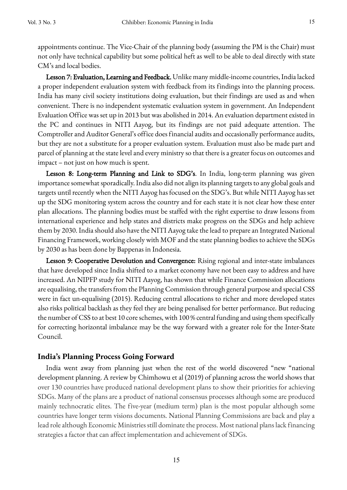appointments continue. The Vice-Chair of the planning body (assuming the PM is the Chair) must not only have technical capability but some political heft as well to be able to deal directly with state CM's and local bodies.

Lesson 7: Evaluation, Learning and Feedback. Unlike many middle-income countries, India lacked a proper independent evaluation system with feedback from its findings into the planning process. India has many civil society institutions doing evaluation, but their findings are used as and when convenient. There is no independent systematic evaluation system in government. An Independent Evaluation Office was set up in 2013 but was abolished in 2014. An evaluation department existed in the PC and continues in NITI Aayog, but its findings are not paid adequate attention. The Comptroller and Auditor General's office does financial audits and occasionally performance audits, but they are not a substitute for a proper evaluation system. Evaluation must also be made part and parcel of planning at the state level and every ministry so that there is a greater focus on outcomes and impact – not just on how much is spent.

Lesson 8: Long-term Planning and Link to SDG's. In India, long-term planning was given importance somewhat sporadically. India also did not align its planning targets to any global goals and targets until recently when the NITI Aayog has focused on the SDG's. But while NITI Aayog has set up the SDG monitoring system across the country and for each state it is not clear how these enter plan allocations. The planning bodies must be staffed with the right expertise to draw lessons from international experience and help states and districts make progress on the SDGs and help achieve them by 2030. India should also have the NITI Aayog take the lead to prepare an Integrated National Financing Framework, working closely with MOF and the state planning bodies to achieve the SDGs by 2030 as has been done by Bappenas in Indonesia.

Lesson 9: Cooperative Devolution and Convergence: Rising regional and inter-state imbalances that have developed since India shifted to a market economy have not been easy to address and have increased. An NIPFP study for NITI Aayog, has shown that while Finance Commission allocations are equalising, the transfers from the Planning Commission through general purpose and special CSS were in fact un-equalising (2015). Reducing central allocations to richer and more developed states also risks political backlash as they feel they are being penalised for better performance. But reducing the number of CSS to at best 10 core schemes, with 100 % central funding and using them specifically for correcting horizontal imbalance may be the way forward with a greater role for the Inter-State Council.

#### **India's Planning Process Going Forward**

India went away from planning just when the rest of the world discovered "new "national development planning. A review by Chimhowu et al (2019) of planning across the world shows that over 130 countries have produced national development plans to show their priorities for achieving SDGs. Many of the plans are a product of national consensus processes although some are produced mainly technocratic elites. The five-year (medium term) plan is the most popular although some countries have longer term visions documents. National Planning Commissions are back and play a lead role although Economic Ministries still dominate the process. Most national plans lack financing strategies a factor that can affect implementation and achievement of SDGs.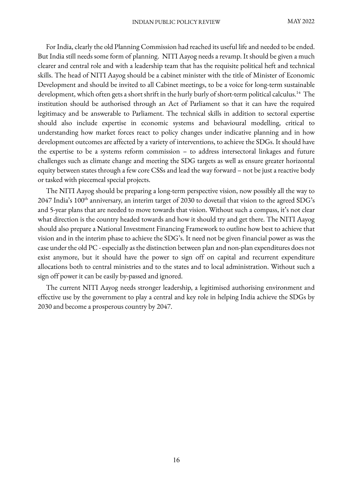For India, clearly the old Planning Commission had reached its useful life and needed to be ended. But India still needs some form of planning. NITI Aayog needs a revamp. It should be given a much clearer and central role and with a leadership team that has the requisite political heft and technical skills. The head of NITI Aayog should be a cabinet minister with the title of Minister of Economic Development and should be invited to all Cabinet meetings, to be a voice for long-term sustainable development, which often gets a short shrift in the hurly burly of short-term political calculus.<sup>14</sup> The institution should be authorised through an Act of Parliament so that it can have the required legitimacy and be answerable to Parliament. The technical skills in addition to sectoral expertise should also include expertise in economic systems and behavioural modelling, critical to understanding how market forces react to policy changes under indicative planning and in how development outcomes are affected by a variety of interventions, to achieve the SDGs. It should have the expertise to be a systems reform commission – to address intersectoral linkages and future challenges such as climate change and meeting the SDG targets as well as ensure greater horizontal equity between states through a few core CSSsand lead the way forward – not be just a reactive body or tasked with piecemeal special projects.

The NITI Aayog should be preparing a long-term perspective vision, now possibly all the way to 2047 India's 100<sup>th</sup> anniversary, an interim target of 2030 to dovetail that vision to the agreed SDG's and 5-year plans that are needed to move towards that vision. Without such a compass, it's not clear what direction is the country headed towards and how it should try and get there. The NITI Aayog should also prepare a National Investment Financing Framework to outline how best to achieve that vision and in the interim phase to achieve the SDG's. It need not be given financial power as was the case under the old PC - especially as the distinction between plan and non-plan expenditures does not exist anymore, but it should have the power to sign off on capital and recurrent expenditure allocations both to central ministries and to the states and to local administration. Without such a sign off power it can be easily by-passed and ignored.

The current NITI Aayog needs stronger leadership, a legitimised authorising environment and effective use by the government to play a central and key role in helping India achieve the SDGs by 2030 and become a prosperous country by 2047.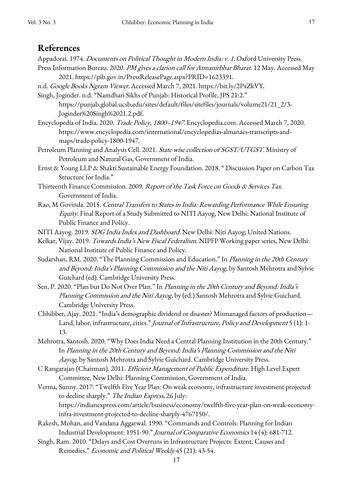### **References**

- Appadorai. 1974. *Documents on Political Thought in Modern India: v. 1*. Oxford University Press.
- Press Information Bureau. 2020. PM gives a clarion call for Atmanirbhar Bharat. 12 May. Accessed May 2021. https://pib.gov.in/PressReleasePage.aspx?PRID=1623391.
- n.d. Google Books Ngram Viewer. Accessed March 7, 2021. https://bit.ly/2PxZkVY.
- Singh, Joginder. n.d. "Namdhari Sikhs of Punjab: Historical Profile, JPS 21:2." https://punjab.global.ucsb.edu/sites/default/files/sitefiles/journals/volume21/21\_2/3- Joginder%20Singh%2021.2.pdf.
- Encyclopedia of India. 2020. Trade Policy, 1800-1947. Encyclopedia.com. Accessed March 7, 2020. https://www.encyclopedia.com/international/encyclopedias-almanacs-transcripts-andmaps/trade-policy-1800-1947.
- Petroleum Planning and Analysis Cell. 2021. State wise collection of SGST/UTGST. Ministry of Petroleum and Natural Gas, Government of India.
- Ernst & Young LLP & Shakti Sustainable Energy Foundation. 2018. " Discussion Paper on Carbon Tax Structure for India."
- Thirteenth Finance Commission. 2009. Report of the Task Force on Goods & Services Tax. Government of India.
- Rao, M Govinda. 2015. Central Transfers to States in India: Rewarding Performance While Ensuring Equity. Final Report of a Study Submitted to NITI Aayog, New Delhi: National Institute of Public Finance and Policy.
- NITI Aayog. 2019. SDG India Index and Dashboard. New Delhi: Niti Aayog; United Nations.
- Kelkar, Vijay. 2019. Towards India's New Fiscal Federalism. NIPFP Working paper series, New Delhi: National Institute of Public Finance and Policy.
- Sudarshan, RM. 2020. "The Planning Commission and Education." In Planning in the 20th Century and Beyond: India's Planning Commission and the Niti Aayog, by Santosh Mehrotra and Sylvie Guichard (ed). Cambridge University Press.
- Sen, P. 2020. "Plan but Do Not Over Plan." In Planning in the 20th Century and Beyond: India's Planning Commission and the Niti Aayog, by (ed.) Santosh Mehrotra and Sylvie Guichard. Cambridge University Press.
- Chhibber, Ajay. 2021. "India's demographic dividend or disaster? Mismanaged factors of production— Land, labor, infrastructure, cities." Journal of Infrastructure, Policy and Development 5 (1): 1-13.
- Mehrotra, Santosh. 2020. "Why Does India Need a Central Planning Institution in the 20th Century." In Planning in the 20th Century and Beyond: India's Planning Commission and the Niti Aayog, by Santosh Mehrotra and Sylvie Guichard. Cambridge University Press.
- C Rangarajan (Chairman). 2011. Efficient Management of Public Expenditure. High Level Expert Committee, New Delhi: Planning Commission, Government of India.
- Verma, Sunny. 2017. "Twelfth Five Year Plan: On weak economy, infrastructure investment projected to decline sharply." *The Indian Express*, 26 July: https://indianexpress.com/article/business/economy/twelfth-five-year-plan-on-weak-economyinfra-investment-projected-to-decline-sharply-4767150/.
- Rakesh, Mohan, and Vandana Aggarwal. 1990. "Commands and Controls: Planning for Indian Industrial Development: 1951-90." Journal of Comparative Economics 14 (4): 681-712.
- Singh, Ram. 2010. "Delays and Cost Overruns in Infrastructure Projects: Extent, Causes and Remedies." Economic and Political Weekly 45 (21): 43-54.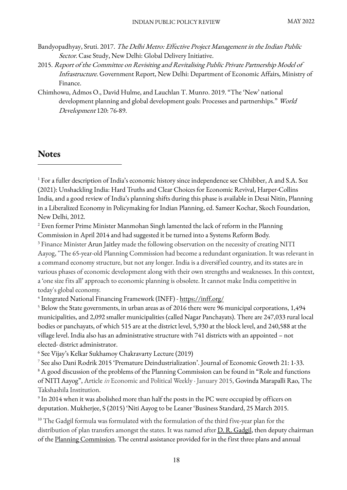- Bandyopadhyay, Sruti. 2017. The Delhi Metro: Effective Project Management in the Indian Public Sector. Case Study, New Delhi: Global Delivery Initiative.
- 2015. Report of the Committee on Revisiting and Revitalising Public Private Partnership Model of Infrastructure. Government Report, New Delhi: Department of Economic Affairs, Ministry of Finance.
- Chimhowu, Admos O., David Hulme, and Lauchlan T. Munro. 2019. "The 'New' national development planning and global development goals: Processes and partnerships." World Development 120: 76-89.

## **Notes**

<sup>4</sup> Integrated National Financing Framework (INFF) - https://inff.org/

<sup>5</sup> Below the State governments, in urban areas as of 2016 there were 96 municipal corporations, 1,494 municipalities, and 2,092 smaller municipalities (called Nagar Panchayats). There are 247,033 rural local bodies or panchayats, of which 515 are at the district level, 5,930 at the block level, and 240,588 at the village level. India also has an administrative structure with 741 districts with an appointed – not elected- district administrator.

<sup>6</sup> See Vijay's Kelkar Sukhamoy Chakravarty Lecture (2019)

<sup>7</sup> See also Dani Rodrik 2015 'Premature Deindustrialization'. Journal of Economic Growth 21: 1-33. <sup>8</sup> A good discussion of the problems of the Planning Commission can be found in "Role and functions" of NITI Aayog", Article in Economic and Political Weekly · January 2015, Govinda Marapalli Rao, The Takshashila Institution.

<sup>9</sup> In 2014 when it was abolished more than half the posts in the PC were occupied by officers on deputation. Mukherjee, S (2015) 'Niti Aayog to be Leaner 'Business Standard, 25 March 2015.

<sup>10</sup> The Gadgil formula was formulated with the formulation of the third five-year plan for the distribution of plan transfers amongst the states. It was named after D. R. Gadgil, then deputy chairman of the Planning Commission. The central assistance provided for in the first three plans and annual

<sup>1</sup> For a fuller description of India's economic history since independence see Chhibber, A and S.A. Soz (2021): Unshackling India: Hard Truths and Clear Choices for Economic Revival, Harper-Collins India, and a good review of India's planning shifts during this phase is available in Desai Nitin, Planning in a Liberalized Economy in Policymaking for Indian Planning, ed. Sameer Kochar, Skoch Foundation, New Delhi, 2012.

<sup>&</sup>lt;sup>2</sup> Even former Prime Minister Manmohan Singh lamented the lack of reform in the Planning Commission in April 2014 and had suggested it be turned into a Systems Reform Body.

<sup>&</sup>lt;sup>3</sup> Finance Minister Arun Jaitley made the following observation on the necessity of creating NITI Aayog, "The 65-year-old Planning Commission had become a redundant organization. It was relevant in a command economy structure, but not any longer. India is a diversified country, and its states are in various phases of economic development along with their own strengths and weaknesses. In this context, a 'one size fits all' approach to economic planning is obsolete. It cannot make India competitive in today's global economy.